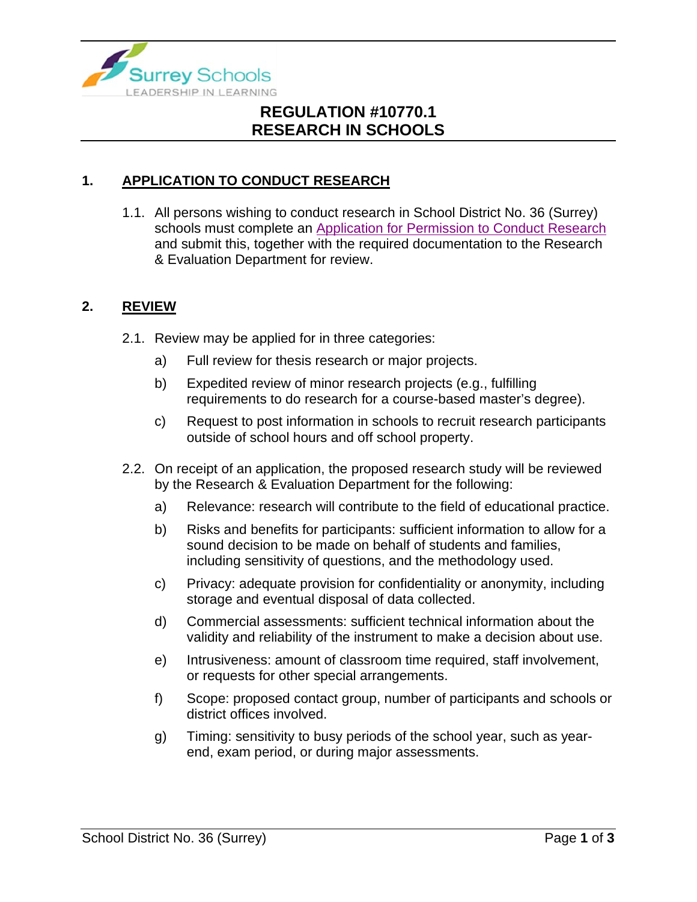

# **REGULATION #10770.1 RESEARCH IN SCHOOLS**

## **1. APPLICATION TO CONDUCT RESEARCH**

1.1. All persons wishing to conduct research in School District No. 36 (Surrey) schools must complete an [Application for Permission to Conduct Research](https://www.surreyschools.ca/departments/SECT/PoliciesRegulations/section_10000/Documents/10770.1-2%20Appendix.pdf) and submit this, together with the required documentation to the Research & Evaluation Department for review.

#### **2. REVIEW**

- 2.1. Review may be applied for in three categories:
	- a) Full review for thesis research or major projects.
	- b) Expedited review of minor research projects (e.g., fulfilling requirements to do research for a course-based master's degree).
	- c) Request to post information in schools to recruit research participants outside of school hours and off school property.
- 2.2. On receipt of an application, the proposed research study will be reviewed by the Research & Evaluation Department for the following:
	- a) Relevance: research will contribute to the field of educational practice.
	- b) Risks and benefits for participants: sufficient information to allow for a sound decision to be made on behalf of students and families, including sensitivity of questions, and the methodology used.
	- c) Privacy: adequate provision for confidentiality or anonymity, including storage and eventual disposal of data collected.
	- d) Commercial assessments: sufficient technical information about the validity and reliability of the instrument to make a decision about use.
	- e) Intrusiveness: amount of classroom time required, staff involvement, or requests for other special arrangements.
	- f) Scope: proposed contact group, number of participants and schools or district offices involved.
	- g) Timing: sensitivity to busy periods of the school year, such as yearend, exam period, or during major assessments.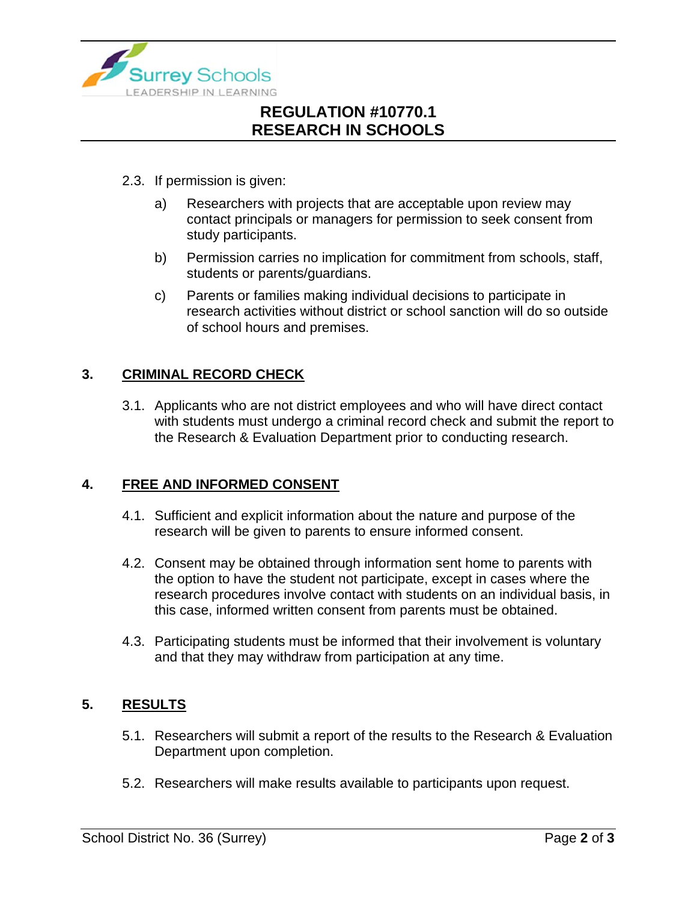

# **REGULATION #10770.1 RESEARCH IN SCHOOLS**

- 2.3. If permission is given:
	- a) Researchers with projects that are acceptable upon review may contact principals or managers for permission to seek consent from study participants.
	- b) Permission carries no implication for commitment from schools, staff, students or parents/guardians.
	- c) Parents or families making individual decisions to participate in research activities without district or school sanction will do so outside of school hours and premises.

## **3. CRIMINAL RECORD CHECK**

3.1. Applicants who are not district employees and who will have direct contact with students must undergo a criminal record check and submit the report to the Research & Evaluation Department prior to conducting research.

### **4. FREE AND INFORMED CONSENT**

- 4.1. Sufficient and explicit information about the nature and purpose of the research will be given to parents to ensure informed consent.
- 4.2. Consent may be obtained through information sent home to parents with the option to have the student not participate, except in cases where the research procedures involve contact with students on an individual basis, in this case, informed written consent from parents must be obtained.
- 4.3. Participating students must be informed that their involvement is voluntary and that they may withdraw from participation at any time.

### **5. RESULTS**

- 5.1. Researchers will submit a report of the results to the Research & Evaluation Department upon completion.
- 5.2. Researchers will make results available to participants upon request.